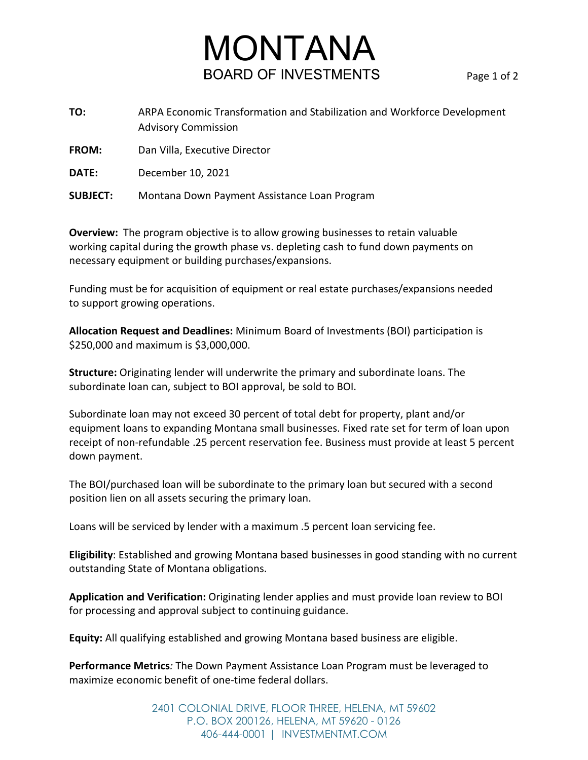## **MONTANA**<br>BOARD OF INVESTMENTS

**TO:** ARPA Economic Transformation and Stabilization and Workforce Development Advisory Commission

**FROM:** Dan Villa, Executive Director

**DATE:** December 10, 2021

**SUBJECT:** Montana Down Payment Assistance Loan Program

**Overview:** The program objective is to allow growing businesses to retain valuable working capital during the growth phase vs. depleting cash to fund down payments on necessary equipment or building purchases/expansions.

Funding must be for acquisition of equipment or real estate purchases/expansions needed to support growing operations.

**Allocation Request and Deadlines:** Minimum Board of Investments (BOI) participation is \$250,000 and maximum is \$3,000,000.

**Structure:** Originating lender will underwrite the primary and subordinate loans. The subordinate loan can, subject to BOI approval, be sold to BOI.

Subordinate loan may not exceed 30 percent of total debt for property, plant and/or equipment loans to expanding Montana small businesses. Fixed rate set for term of loan upon receipt of non-refundable .25 percent reservation fee. Business must provide at least 5 percent down payment.

The BOI/purchased loan will be subordinate to the primary loan but secured with a second position lien on all assets securing the primary loan.

Loans will be serviced by lender with a maximum .5 percent loan servicing fee.

**Eligibility**: Established and growing Montana based businesses in good standing with no current outstanding State of Montana obligations.

**Application and Verification:** Originating lender applies and must provide loan review to BOI for processing and approval subject to continuing guidance.

**Equity:** All qualifying established and growing Montana based business are eligible.

**Performance Metrics***:* The Down Payment Assistance Loan Program must be leveraged to maximize economic benefit of one-time federal dollars.

> 2401 COLONIAL DRIVE, FLOOR THREE, HELENA, MT 59602 P.O. BOX 200126, HELENA, MT 59620 - 0126 406-444-0001 | INVESTMENTMT.COM